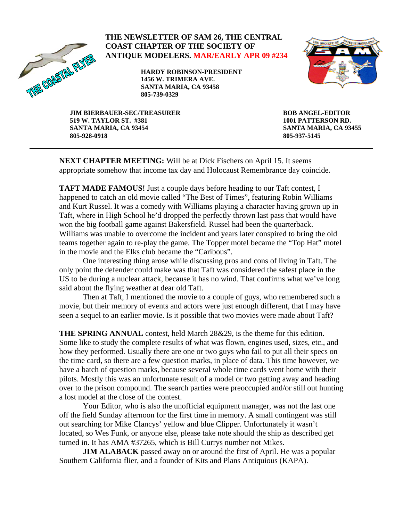

## **THE NEWSLETTER OF SAM 26, THE CENTRAL COAST CHAPTER OF THE SOCIETY OF ANTIQUE MODELERS. MAR/EARLY APR 09 #234**

**HARDY ROBINSON-PRESIDENT 1456 W. TRIMERA AVE. SANTA MARIA, CA 93458 805-739-0329** 



**JIM BIERBAUER-SEC/TREASURER 519 W. TAYLOR ST. #381 SANTA MARIA, CA 93454 805-928-0918** 

**BOB ANGEL-EDITOR 1001 PATTERSON RD. SANTA MARIA, CA 93455 805-937-5145** 

**NEXT CHAPTER MEETING:** Will be at Dick Fischers on April 15. It seems appropriate somehow that income tax day and Holocaust Remembrance day coincide.

**TAFT MADE FAMOUS!** Just a couple days before heading to our Taft contest, I happened to catch an old movie called "The Best of Times", featuring Robin Williams and Kurt Russel. It was a comedy with Williams playing a character having grown up in Taft, where in High School he'd dropped the perfectly thrown last pass that would have won the big football game against Bakersfield. Russel had been the quarterback. Williams was unable to overcome the incident and years later conspired to bring the old teams together again to re-play the game. The Topper motel became the "Top Hat" motel in the movie and the Elks club became the "Caribous".

 One interesting thing arose while discussing pros and cons of living in Taft. The only point the defender could make was that Taft was considered the safest place in the US to be during a nuclear attack, because it has no wind. That confirms what we've long said about the flying weather at dear old Taft.

 Then at Taft, I mentioned the movie to a couple of guys, who remembered such a movie, but their memory of events and actors were just enough different, that I may have seen a sequel to an earlier movie. Is it possible that two movies were made about Taft?

**THE SPRING ANNUAL** contest, held March 28&29, is the theme for this edition. Some like to study the complete results of what was flown, engines used, sizes, etc., and how they performed. Usually there are one or two guys who fail to put all their specs on the time card, so there are a few question marks, in place of data. This time however, we have a batch of question marks, because several whole time cards went home with their pilots. Mostly this was an unfortunate result of a model or two getting away and heading over to the prison compound. The search parties were preoccupied and/or still out hunting a lost model at the close of the contest.

 Your Editor, who is also the unofficial equipment manager, was not the last one off the field Sunday afternoon for the first time in memory. A small contingent was still out searching for Mike Clancys' yellow and blue Clipper. Unfortunately it wasn't located, so Wes Funk, or anyone else, please take note should the ship as described get turned in. It has AMA #37265, which is Bill Currys number not Mikes.

**JIM ALABACK** passed away on or around the first of April. He was a popular Southern California flier, and a founder of Kits and Plans Antiquious (KAPA).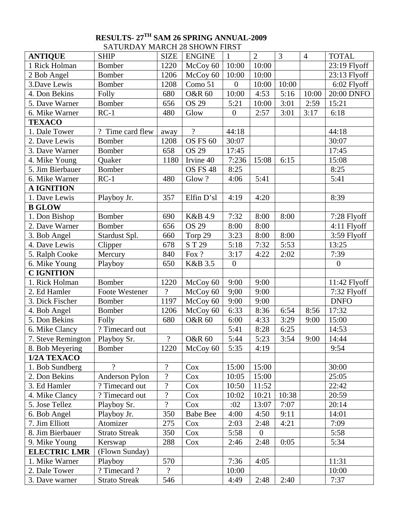# **RESULTS- 27TH SAM 26 SPRING ANNUAL-2009**  SATURDAY MARCH 28 SHOWN FIRST

| <b>ANTIQUE</b>      | <b>SHIP</b>           | <b>SIZE</b>              | <b>ENGINE</b>     | $\mathbf{1}$     | $\overline{2}$   | $\overline{3}$ | $\overline{4}$ | <b>TOTAL</b>     |
|---------------------|-----------------------|--------------------------|-------------------|------------------|------------------|----------------|----------------|------------------|
| 1 Rick Holman       | <b>Bomber</b>         | 1220                     | McCoy 60          | 10:00            | 10:00            |                |                | 23:19 Flyoff     |
| 2 Bob Angel         | <b>Bomber</b>         | 1206                     | McCoy 60          | 10:00            | 10:00            |                |                | 23:13 Flyoff     |
| 3.Dave Lewis        | <b>Bomber</b>         | 1208                     | Como 51           | $\overline{0}$   | 10:00            | 10:00          |                | 6:02 Flyoff      |
| 4. Don Bekins       | Folly                 | 680                      | <b>O&amp;R 60</b> | 10:00            | 4:53             | 5:16           | 10:00          | 20:00 DNFO       |
| 5. Dave Warner      | <b>Bomber</b>         | 656                      | OS 29             | 5:21             | 10:00            | 3:01           | 2:59           | 15:21            |
| 6. Mike Warner      | $RC-1$                | 480                      | Glow              | $\boldsymbol{0}$ | 2:57             | 3:01           | 3:17           | 6:18             |
| <b>TEXACO</b>       |                       |                          |                   |                  |                  |                |                |                  |
| 1. Dale Tower       | ? Time card flew      | away                     | $\overline{?}$    | 44:18            |                  |                |                | 44:18            |
| 2. Dave Lewis       | <b>Bomber</b>         | 1208                     | OS FS 60          | 30:07            |                  |                |                | 30:07            |
| 3. Dave Warner      | <b>Bomber</b>         | 658                      | <b>OS 29</b>      | 17:45            |                  |                |                | 17:45            |
| 4. Mike Young       | Quaker                | 1180                     | Irvine 40         | 7:236            | 15:08            | 6:15           |                | 15:08            |
| 5. Jim Bierbauer    | <b>Bomber</b>         |                          | <b>OS FS 48</b>   | 8:25             |                  |                |                | 8:25             |
| 6. Mike Warner      | $RC-1$                | 480                      | Glow?             | 4:06             | 5:41             |                |                | 5:41             |
| <b>A IGNITION</b>   |                       |                          |                   |                  |                  |                |                |                  |
| 1. Dave Lewis       | Playboy Jr.           | 357                      | Elfin D'sl        | 4:19             | 4:20             |                |                | 8:39             |
| <b>B GLOW</b>       |                       |                          |                   |                  |                  |                |                |                  |
| 1. Don Bishop       | <b>Bomber</b>         | 690                      | K&B 4.9           | 7:32             | 8:00             | 8:00           |                | 7:28 Flyoff      |
| 2. Dave Warner      | <b>Bomber</b>         | 656                      | <b>OS 29</b>      | 8:00             | 8:00             |                |                | 4:11 Flyoff      |
| 3. Bob Angel        | Stardust Spl.         | 660                      | Torp 29           | 3:23             | 8:00             | 8:00           |                | 3:59 Flyoff      |
| 4. Dave Lewis       | Clipper               | 678                      | ST 29             | 5:18             | 7:32             | 5:53           |                | 13:25            |
| 5. Ralph Cooke      | Mercury               | 840                      | Fox ?             | 3:17             | 4:22             | 2:02           |                | 7:39             |
| 6. Mike Young       | Playboy               | 650                      | K&B 3.5           | $\boldsymbol{0}$ |                  |                |                | $\boldsymbol{0}$ |
| <b>CIGNITION</b>    |                       |                          |                   |                  |                  |                |                |                  |
| 1. Rick Holman      | <b>Bomber</b>         | 1220                     | McCoy 60          | 9:00             | 9:00             |                |                | 11:42 Flyoff     |
| 2. Ed Hamler        | <b>Foote Westener</b> | $\overline{?}$           | McCoy 60          | 9;00             | 9:00             |                |                | 7:32 Flyoff      |
| 3. Dick Fischer     | <b>Bomber</b>         | 1197                     | McCoy 60          | 9:00             | 9:00             |                |                | <b>DNFO</b>      |
| 4. Bob Angel        | Bomber                | 1206                     | McCoy 60          | 6:33             | 8:36             | 6:54           | 8:56           | 17:32            |
| 5. Don Bekins       | Folly                 | 680                      | <b>O&amp;R 60</b> | 6:00             | 4:33             | 3:29           | 9:00           | 15:00            |
| 6. Mike Clancy      | ? Timecard out        |                          |                   | 5:41             | 8:28             | 6:25           |                | 14:53            |
| 7. Steve Remington  | Playboy Sr.           | $\overline{\cdot}$       | <b>O&amp;R 60</b> | 5:44             | 5:23             | 3:54           | 9:00           | 14:44            |
| 8. Bob Meyering     | Bomber                | 1220                     | McCoy 60          | 5:35             | 4:19             |                |                | 9:54             |
| 1/2A TEXACO         |                       |                          |                   |                  |                  |                |                |                  |
| 1. Bob Sundberg     | $\gamma$              | $\boldsymbol{?}$         | Cox               | 15:00            | 15:00            |                |                | 30:00            |
| 2. Don Bekins       | Anderson Pylon        | $\boldsymbol{?}$         | Cox               | 10:05            | 15:00            |                |                | 25:05            |
| 3. Ed Hamler        | ? Timecard out        | $\boldsymbol{?}$         | Cox               | 10:50            | 11:52            |                |                | 22:42            |
| 4. Mike Clancy      | ? Timecard out        | $\overline{\mathcal{L}}$ | Cox               | 10:02            | 10:21            | 10:38          |                | 20:59            |
| 5. Jose Tellez      | Playboy Sr.           | $\overline{?}$           | Cox               | :02              | 13:07            | 7:07           |                | 20:14            |
| 6. Bob Angel        | Playboy Jr.           | 350                      | <b>Babe Bee</b>   | 4:00             | 4:50             | 9:11           |                | 14:01            |
| 7. Jim Elliott      | Atomizer              | 275                      | Cox               | 2:03             | 2:48             | 4:21           |                | 7:09             |
| 8. Jim Bierbauer    | <b>Strato Streak</b>  | 350                      | Cox               | 5:58             | $\boldsymbol{0}$ |                |                | 5:58             |
| 9. Mike Young       | Kerswap               | 288                      | Cox               | 2:46             | 2:48             | 0:05           |                | 5:34             |
| <b>ELECTRIC LMR</b> | (Flown Sunday)        |                          |                   |                  |                  |                |                |                  |
| 1. Mike Warner      | Playboy               | 570                      |                   | 7:36             | 4:05             |                |                | 11:31            |
| 2. Dale Tower       | ? Timecard ?          | $\gamma$                 |                   | 10:00            |                  |                |                | 10:00            |
| 3. Dave warner      | <b>Strato Streak</b>  | 546                      |                   | 4:49             | 2:48             | 2:40           |                | 7:37             |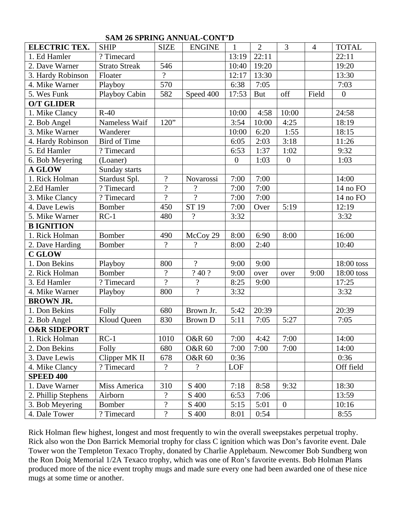| <b>ELECTRIC TEX.</b>    | <b>SHIP</b>          | <b>SIZE</b>              | <b>ENGINE</b>            | $\mathbf{1}$     | $\overline{2}$ | 3                | $\overline{4}$ | <b>TOTAL</b>     |
|-------------------------|----------------------|--------------------------|--------------------------|------------------|----------------|------------------|----------------|------------------|
| 1. Ed Hamler            | ? Timecard           |                          |                          | 13:19            | 22:11          |                  |                | 22:11            |
| 2. Dave Warner          | <b>Strato Streak</b> | 546                      |                          | 10:40            | 19:20          |                  |                | 19:20            |
| 3. Hardy Robinson       | Floater              | $\gamma$                 |                          | 12:17            | 13:30          |                  |                | 13:30            |
| 4. Mike Warner          | Playboy              | 570                      |                          | 6:38             | 7:05           |                  |                | 7:03             |
| 5. Wes Funk             | Playboy Cabin        | 582                      | Speed 400                | 17:53            | <b>But</b>     | off              | Field          | $\boldsymbol{0}$ |
| <b>O/T GLIDER</b>       |                      |                          |                          |                  |                |                  |                |                  |
| 1. Mike Clancy          | $R-40$               |                          |                          | 10:00            | 4:58           | 10:00            |                | 24:58            |
| 2. Bob Angel            | Nameless Waif        | 120"                     |                          | 3:54             | 10:00          | 4:25             |                | 18:19            |
| 3. Mike Warner          | Wanderer             |                          |                          | 10:00            | 6:20           | 1:55             |                | 18:15            |
| 4. Hardy Robinson       | Bird of Time         |                          |                          | 6:05             | 2:03           | 3:18             |                | 11:26            |
| 5. Ed Hamler            | ? Timecard           |                          |                          | 6:53             | 1:37           | 1:02             |                | 9:32             |
| 6. Bob Meyering         | (Loaner)             |                          |                          | $\boldsymbol{0}$ | 1:03           | $\boldsymbol{0}$ |                | 1:03             |
| <b>A GLOW</b>           | Sunday starts        |                          |                          |                  |                |                  |                |                  |
| 1. Rick Holman          | Stardust Spl.        | $\overline{?}$           | Novarossi                | 7:00             | 7:00           |                  |                | 14:00            |
| 2.Ed Hamler             | ? Timecard           | $\overline{\mathcal{L}}$ | $\overline{\cdot}$       | 7:00             | 7:00           |                  |                | 14 no FO         |
| 3. Mike Clancy          | ? Timecard           | $\overline{?}$           | $\overline{?}$           | 7:00             | 7:00           |                  |                | 14 no FO         |
| 4. Dave Lewis           | Bomber               | 450                      | ST 19                    | 7:00             | Over           | 5:19             |                | 12:19            |
| 5. Mike Warner          | $RC-1$               | 480                      | $\ddot{?}$               | 3:32             |                |                  |                | 3:32             |
| <b>B IGNITION</b>       |                      |                          |                          |                  |                |                  |                |                  |
| 1. Rick Holman          | <b>Bomber</b>        | 490                      | McCoy 29                 | 8:00             | 6:90           | 8:00             |                | 16:00            |
| 2. Dave Harding         | <b>Bomber</b>        | $\overline{?}$           | $\overline{\mathcal{L}}$ | 8:00             | 2:40           |                  |                | 10:40            |
| <b>C GLOW</b>           |                      |                          |                          |                  |                |                  |                |                  |
| 1. Don Bekins           | Playboy              | 800                      | $\overline{?}$           | 9:00             | 9:00           |                  |                | 18:00 toss       |
| 2. Rick Holman          | <b>Bomber</b>        | $\overline{\mathcal{L}}$ | ?40?                     | 9:00             | over           | over             | 9:00           | 18:00 toss       |
| 3. Ed Hamler            | ? Timecard           | $\overline{?}$           | $\overline{\cdot}$       | 8:25             | 9:00           |                  |                | 17:25            |
| 4. Mike Warner          | Playboy              | 800                      | $\overline{?}$           | 3:32             |                |                  |                | 3:32             |
| <b>BROWN JR.</b>        |                      |                          |                          |                  |                |                  |                |                  |
| 1. Don Bekins           | Folly                | 680                      | Brown Jr.                | 5:42             | 20:39          |                  |                | 20:39            |
| 2. Bob Angel            | Kloud Queen          | 830                      | <b>Brown D</b>           | 5:11             | 7:05           | 5:27             |                | 7:05             |
| <b>O&amp;R SIDEPORT</b> |                      |                          |                          |                  |                |                  |                |                  |
| 1. Rick Holman          | $RC-1$               | 1010                     | <b>O&amp;R 60</b>        | 7:00             | 4:42           | 7:00             |                | 14:00            |
| 2. Don Bekins           | Folly                | 680                      | <b>O&amp;R 60</b>        | 7:00             | 7:00           | 7:00             |                | 14:00            |
| 3. Dave Lewis           | Clipper MK II        | 678                      | <b>O&amp;R 60</b>        | 0:36             |                |                  |                | 0:36             |
| 4. Mike Clancy          | ? Timecard           | $\overline{\mathcal{L}}$ | $\overline{\mathcal{L}}$ | LOF              |                |                  |                | Off field        |
| <b>SPEED 400</b>        |                      |                          |                          |                  |                |                  |                |                  |
| 1. Dave Warner          | Miss America         | 310                      | S 400                    | 7:18             | 8:58           | 9:32             |                | 18:30            |
| 2. Phillip Stephens     | Airborn              | $\overline{?}$           | S 400                    | 6:53             | 7:06           |                  |                | 13:59            |
| 3. Bob Meyering         | Bomber               | $\overline{?}$           | S 400                    | 5:15             | 5:01           | $\overline{0}$   |                | 10:16            |
| 4. Dale Tower           | ? Timecard           | $\overline{?}$           | S 400                    | 8:01             | 0:54           |                  |                | 8:55             |

# **SAM 26 SPRING ANNUAL-CONT'D**

Rick Holman flew highest, longest and most frequently to win the overall sweepstakes perpetual trophy. Rick also won the Don Barrick Memorial trophy for class C ignition which was Don's favorite event. Dale Tower won the Templeton Texaco Trophy, donated by Charlie Applebaum. Newcomer Bob Sundberg won the Ron Doig Memorial 1/2A Texaco trophy, which was one of Ron's favorite events. Bob Holman Plans produced more of the nice event trophy mugs and made sure every one had been awarded one of these nice mugs at some time or another.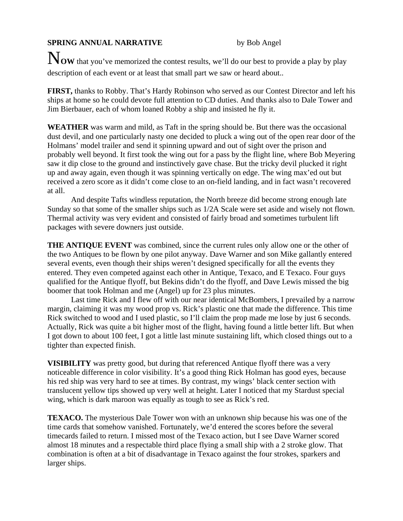## **SPRING ANNUAL NARRATIVE** by Bob Angel

N**OW** that you've memorized the contest results, we'll do our best to provide a play by play description of each event or at least that small part we saw or heard about..

**FIRST,** thanks to Robby. That's Hardy Robinson who served as our Contest Director and left his ships at home so he could devote full attention to CD duties. And thanks also to Dale Tower and Jim Bierbauer, each of whom loaned Robby a ship and insisted he fly it.

**WEATHER** was warm and mild, as Taft in the spring should be. But there was the occasional dust devil, and one particularly nasty one decided to pluck a wing out of the open rear door of the Holmans' model trailer and send it spinning upward and out of sight over the prison and probably well beyond. It first took the wing out for a pass by the flight line, where Bob Meyering saw it dip close to the ground and instinctively gave chase. But the tricky devil plucked it right up and away again, even though it was spinning vertically on edge. The wing max'ed out but received a zero score as it didn't come close to an on-field landing, and in fact wasn't recovered at all.

 And despite Tafts windless reputation, the North breeze did become strong enough late Sunday so that some of the smaller ships such as 1/2A Scale were set aside and wisely not flown. Thermal activity was very evident and consisted of fairly broad and sometimes turbulent lift packages with severe downers just outside.

**THE ANTIQUE EVENT** was combined, since the current rules only allow one or the other of the two Antiques to be flown by one pilot anyway. Dave Warner and son Mike gallantly entered several events, even though their ships weren't designed specifically for all the events they entered. They even competed against each other in Antique, Texaco, and E Texaco. Four guys qualified for the Antique flyoff, but Bekins didn't do the flyoff, and Dave Lewis missed the big boomer that took Holman and me (Angel) up for 23 plus minutes.

 Last time Rick and I flew off with our near identical McBombers, I prevailed by a narrow margin, claiming it was my wood prop vs. Rick's plastic one that made the difference. This time Rick switched to wood and I used plastic, so I'll claim the prop made me lose by just 6 seconds. Actually, Rick was quite a bit higher most of the flight, having found a little better lift. But when I got down to about 100 feet, I got a little last minute sustaining lift, which closed things out to a tighter than expected finish.

**VISIBILITY** was pretty good, but during that referenced Antique flyoff there was a very noticeable difference in color visibility. It's a good thing Rick Holman has good eyes, because his red ship was very hard to see at times. By contrast, my wings' black center section with translucent yellow tips showed up very well at height. Later I noticed that my Stardust special wing, which is dark maroon was equally as tough to see as Rick's red.

**TEXACO.** The mysterious Dale Tower won with an unknown ship because his was one of the time cards that somehow vanished. Fortunately, we'd entered the scores before the several timecards failed to return. I missed most of the Texaco action, but I see Dave Warner scored almost 18 minutes and a respectable third place flying a small ship with a 2 stroke glow. That combination is often at a bit of disadvantage in Texaco against the four strokes, sparkers and larger ships.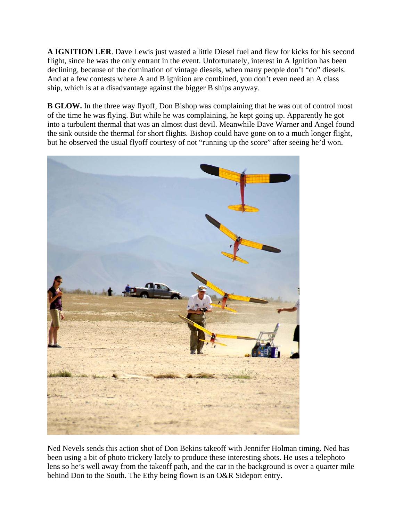**A IGNITION LER**. Dave Lewis just wasted a little Diesel fuel and flew for kicks for his second flight, since he was the only entrant in the event. Unfortunately, interest in A Ignition has been declining, because of the domination of vintage diesels, when many people don't "do" diesels. And at a few contests where A and B ignition are combined, you don't even need an A class ship, which is at a disadvantage against the bigger B ships anyway.

**B GLOW.** In the three way flyoff, Don Bishop was complaining that he was out of control most of the time he was flying. But while he was complaining, he kept going up. Apparently he got into a turbulent thermal that was an almost dust devil. Meanwhile Dave Warner and Angel found the sink outside the thermal for short flights. Bishop could have gone on to a much longer flight, but he observed the usual flyoff courtesy of not "running up the score" after seeing he'd won.



Ned Nevels sends this action shot of Don Bekins takeoff with Jennifer Holman timing. Ned has been using a bit of photo trickery lately to produce these interesting shots. He uses a telephoto lens so he's well away from the takeoff path, and the car in the background is over a quarter mile behind Don to the South. The Ethy being flown is an O&R Sideport entry.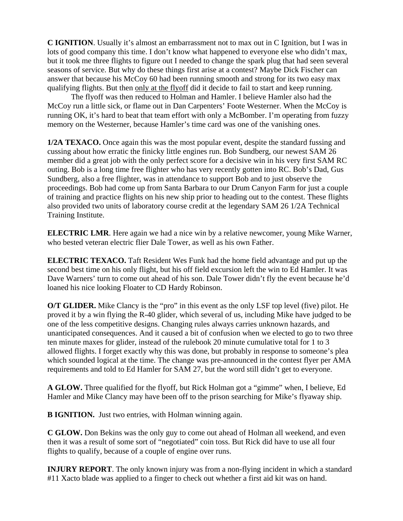**C IGNITION**. Usually it's almost an embarrassment not to max out in C Ignition, but I was in lots of good company this time. I don't know what happened to everyone else who didn't max, but it took me three flights to figure out I needed to change the spark plug that had seen several seasons of service. But why do these things first arise at a contest? Maybe Dick Fischer can answer that because his McCoy 60 had been running smooth and strong for its two easy max qualifying flights. But then only at the flyoff did it decide to fail to start and keep running.

 The flyoff was then reduced to Holman and Hamler. I believe Hamler also had the McCoy run a little sick, or flame out in Dan Carpenters' Foote Westerner. When the McCoy is running OK, it's hard to beat that team effort with only a McBomber. I'm operating from fuzzy memory on the Westerner, because Hamler's time card was one of the vanishing ones.

**1/2A TEXACO.** Once again this was the most popular event, despite the standard fussing and cussing about how erratic the finicky little engines run. Bob Sundberg, our newest SAM 26 member did a great job with the only perfect score for a decisive win in his very first SAM RC outing. Bob is a long time free flighter who has very recently gotten into RC. Bob's Dad, Gus Sundberg, also a free flighter, was in attendance to support Bob and to just observe the proceedings. Bob had come up from Santa Barbara to our Drum Canyon Farm for just a couple of training and practice flights on his new ship prior to heading out to the contest. These flights also provided two units of laboratory course credit at the legendary SAM 26 1/2A Technical Training Institute.

**ELECTRIC LMR**. Here again we had a nice win by a relative newcomer, young Mike Warner, who bested veteran electric flier Dale Tower, as well as his own Father.

**ELECTRIC TEXACO.** Taft Resident Wes Funk had the home field advantage and put up the second best time on his only flight, but his off field excursion left the win to Ed Hamler. It was Dave Warners' turn to come out ahead of his son. Dale Tower didn't fly the event because he'd loaned his nice looking Floater to CD Hardy Robinson.

**O/T GLIDER.** Mike Clancy is the "pro" in this event as the only LSF top level (five) pilot. He proved it by a win flying the R-40 glider, which several of us, including Mike have judged to be one of the less competitive designs. Changing rules always carries unknown hazards, and unanticipated consequences. And it caused a bit of confusion when we elected to go to two three ten minute maxes for glider, instead of the rulebook 20 minute cumulative total for 1 to 3 allowed flights. I forget exactly why this was done, but probably in response to someone's plea which sounded logical at the time. The change was pre-announced in the contest flyer per AMA requirements and told to Ed Hamler for SAM 27, but the word still didn't get to everyone.

**A GLOW.** Three qualified for the flyoff, but Rick Holman got a "gimme" when, I believe, Ed Hamler and Mike Clancy may have been off to the prison searching for Mike's flyaway ship.

**B IGNITION.** Just two entries, with Holman winning again.

**C GLOW.** Don Bekins was the only guy to come out ahead of Holman all weekend, and even then it was a result of some sort of "negotiated" coin toss. But Rick did have to use all four flights to qualify, because of a couple of engine over runs.

**INJURY REPORT**. The only known injury was from a non-flying incident in which a standard #11 Xacto blade was applied to a finger to check out whether a first aid kit was on hand.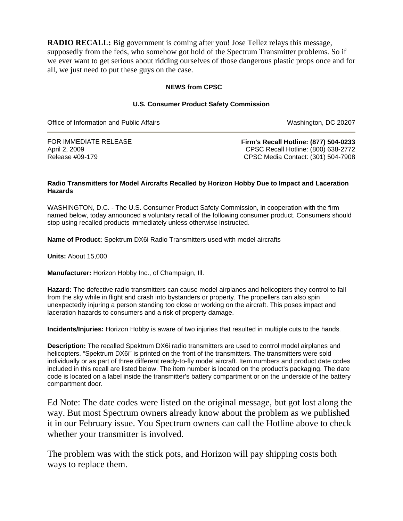**RADIO RECALL:** Big government is coming after you! Jose Tellez relays this message, supposedly from the feds, who somehow got hold of the Spectrum Transmitter problems. So if we ever want to get serious about ridding ourselves of those dangerous plastic props once and for all, we just need to put these guys on the case.

## **NEWS from CPSC**

### **U.S. Consumer Product Safety Commission**

Office of Information and Public Affairs Washington, DC 20207

FOR IMMEDIATE RELEASE April 2, 2009 Release #09-179

**Firm's Recall Hotline: (877) 504-0233** CPSC Recall Hotline: (800) 638-2772 CPSC Media Contact: (301) 504-7908

### **Radio Transmitters for Model Aircrafts Recalled by Horizon Hobby Due to Impact and Laceration Hazards**

WASHINGTON, D.C. - The U.S. Consumer Product Safety Commission, in cooperation with the firm named below, today announced a voluntary recall of the following consumer product. Consumers should stop using recalled products immediately unless otherwise instructed.

**Name of Product:** Spektrum DX6i Radio Transmitters used with model aircrafts

**Units:** About 15,000

**Manufacturer:** Horizon Hobby Inc., of Champaign, Ill.

**Hazard:** The defective radio transmitters can cause model airplanes and helicopters they control to fall from the sky while in flight and crash into bystanders or property. The propellers can also spin unexpectedly injuring a person standing too close or working on the aircraft. This poses impact and laceration hazards to consumers and a risk of property damage.

**Incidents/Injuries:** Horizon Hobby is aware of two injuries that resulted in multiple cuts to the hands.

**Description:** The recalled Spektrum DX6i radio transmitters are used to control model airplanes and helicopters. "Spektrum DX6i" is printed on the front of the transmitters. The transmitters were sold individually or as part of three different ready-to-fly model aircraft. Item numbers and product date codes included in this recall are listed below. The item number is located on the product's packaging. The date code is located on a label inside the transmitter's battery compartment or on the underside of the battery compartment door.

Ed Note: The date codes were listed on the original message, but got lost along the way. But most Spectrum owners already know about the problem as we published it in our February issue. You Spectrum owners can call the Hotline above to check whether your transmitter is involved.

The problem was with the stick pots, and Horizon will pay shipping costs both ways to replace them.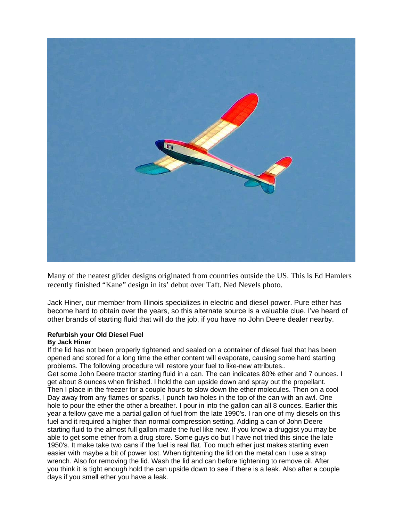

Many of the neatest glider designs originated from countries outside the US. This is Ed Hamlers recently finished "Kane" design in its' debut over Taft. Ned Nevels photo.

Jack Hiner, our member from Illinois specializes in electric and diesel power. Pure ether has become hard to obtain over the years, so this alternate source is a valuable clue. I've heard of other brands of starting fluid that will do the job, if you have no John Deere dealer nearby.

### **Refurbish your Old Diesel Fuel By Jack Hiner**

If the lid has not been properly tightened and sealed on a container of diesel fuel that has been opened and stored for a long time the ether content will evaporate, causing some hard starting problems. The following procedure will restore your fuel to like-new attributes..

Get some John Deere tractor starting fluid in a can. The can indicates 80% ether and 7 ounces. I get about 8 ounces when finished. I hold the can upside down and spray out the propellant. Then I place in the freezer for a couple hours to slow down the ether molecules. Then on a cool Day away from any flames or sparks, I punch two holes in the top of the can with an awl. One hole to pour the ether the other a breather. I pour in into the gallon can all 8 ounces. Earlier this year a fellow gave me a partial gallon of fuel from the late 1990's. I ran one of my diesels on this fuel and it required a higher than normal compression setting. Adding a can of John Deere starting fluid to the almost full gallon made the fuel like new. If you know a druggist you may be able to get some ether from a drug store. Some guys do but I have not tried this since the late 1950's. It make take two cans if the fuel is real flat. Too much ether just makes starting even easier with maybe a bit of power lost. When tightening the lid on the metal can I use a strap wrench. Also for removing the lid. Wash the lid and can before tightening to remove oil. After you think it is tight enough hold the can upside down to see if there is a leak. Also after a couple days if you smell ether you have a leak.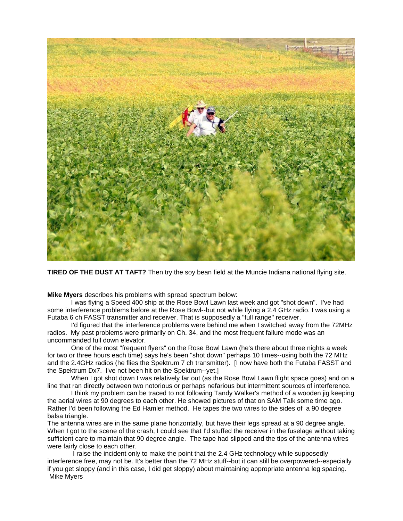

**TIRED OF THE DUST AT TAFT?** Then try the soy bean field at the Muncie Indiana national flying site.

**Mike Myers** describes his problems with spread spectrum below:

I was flying a Speed 400 ship at the Rose Bowl Lawn last week and got "shot down". I've had some interference problems before at the Rose Bowl--but not while flying a 2.4 GHz radio. I was using a Futaba 6 ch FASST transmitter and receiver. That is supposedly a "full range" receiver.

 I'd figured that the interference problems were behind me when I switched away from the 72MHz radios. My past problems were primarily on Ch. 34, and the most frequent failure mode was an uncommanded full down elevator.

 One of the most "frequent flyers" on the Rose Bowl Lawn (he's there about three nights a week for two or three hours each time) says he's been "shot down" perhaps 10 times--using both the 72 MHz and the 2.4GHz radios (he flies the Spektrum 7 ch transmitter). [I now have both the Futaba FASST and the Spektrum Dx7. I've not been hit on the Spektrum--yet.]

 When I got shot down I was relatively far out (as the Rose Bowl Lawn flight space goes) and on a line that ran directly between two notorious or perhaps nefarious but intermittent sources of interference.

 I think my problem can be traced to not following Tandy Walker's method of a wooden jig keeping the aerial wires at 90 degrees to each other. He showed pictures of that on SAM Talk some time ago. Rather I'd been following the Ed Hamler method. He tapes the two wires to the sides of a 90 degree balsa triangle.

The antenna wires are in the same plane horizontally, but have their legs spread at a 90 degree angle. When I got to the scene of the crash, I could see that I'd stuffed the receiver in the fuselage without taking sufficient care to maintain that 90 degree angle. The tape had slipped and the tips of the antenna wires were fairly close to each other.

 I raise the incident only to make the point that the 2.4 GHz technology while supposedly interference free, may not be. It's better than the 72 MHz stuff--but it can still be overpowered--especially if you get sloppy (and in this case, I did get sloppy) about maintaining appropriate antenna leg spacing. Mike Myers